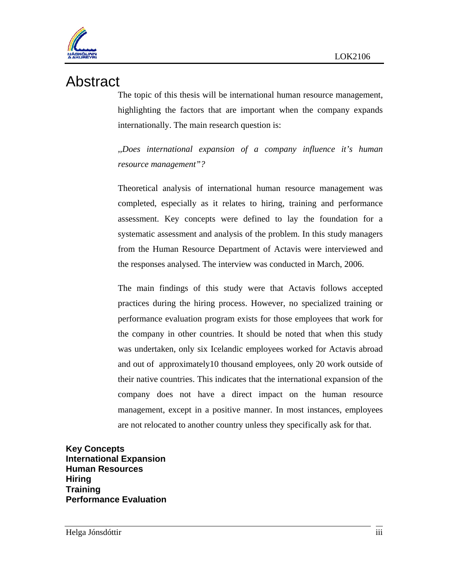

## Abstract

The topic of this thesis will be international human resource management, highlighting the factors that are important when the company expands internationally. The main research question is:

*,,Does international expansion of a company influence it's human resource management"?* 

Theoretical analysis of international human resource management was completed, especially as it relates to hiring, training and performance assessment. Key concepts were defined to lay the foundation for a systematic assessment and analysis of the problem. In this study managers from the Human Resource Department of Actavis were interviewed and the responses analysed. The interview was conducted in March, 2006.

The main findings of this study were that Actavis follows accepted practices during the hiring process. However, no specialized training or performance evaluation program exists for those employees that work for the company in other countries. It should be noted that when this study was undertaken, only six Icelandic employees worked for Actavis abroad and out of approximately10 thousand employees, only 20 work outside of their native countries. This indicates that the international expansion of the company does not have a direct impact on the human resource management, except in a positive manner. In most instances, employees are not relocated to another country unless they specifically ask for that.

**Key Concepts International Expansion Human Resources Hiring Training Performance Evaluation**